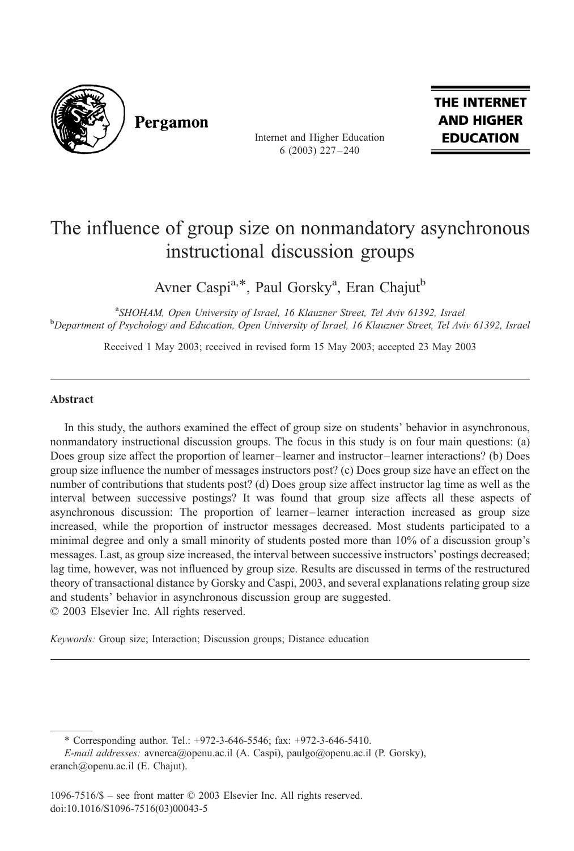

Pergamon

Internet and Higher Education 6 (2003) 227 – 240

**THE INTERNET AND HIGHER EDUCATION** 

# The influence of group size on nonmandatory asynchronous instructional discussion groups

Avner Caspi<sup>a,\*</sup>, Paul Gorsky<sup>a</sup>, Eran Chajut<sup>b</sup>

<sup>a</sup> SHOHAM, Open University of Israel, 16 Klauzner Street, Tel Aviv 61392, Israel<br><sup>b</sup>Denaytment of Psychology and Education, Open University of Israel, 16 Klauzner Street, Tel Avi <sup>b</sup>Department of Psychology and Education, Open University of Israel, 16 Klauzner Street, Tel Aviv 61392, Israel

Received 1 May 2003; received in revised form 15 May 2003; accepted 23 May 2003

### Abstract

In this study, the authors examined the effect of group size on students' behavior in asynchronous, nonmandatory instructional discussion groups. The focus in this study is on four main questions: (a) Does group size affect the proportion of learner –learner and instructor–learner interactions? (b) Does group size influence the number of messages instructors post? (c) Does group size have an effect on the number of contributions that students post? (d) Does group size affect instructor lag time as well as the interval between successive postings? It was found that group size affects all these aspects of asynchronous discussion: The proportion of learner –learner interaction increased as group size increased, while the proportion of instructor messages decreased. Most students participated to a minimal degree and only a small minority of students posted more than 10% of a discussion group's messages. Last, as group size increased, the interval between successive instructors' postings decreased; lag time, however, was not influenced by group size. Results are discussed in terms of the restructured theory of transactional distance by Gorsky and Caspi, 2003, and several explanations relating group size and students' behavior in asynchronous discussion group are suggested.  $© 2003 Elsevier Inc. All rights reserved.$ 

Keywords: Group size; Interaction; Discussion groups; Distance education

<sup>\*</sup> Corresponding author. Tel.: +972-3-646-5546; fax: +972-3-646-5410.

E-mail addresses: avnerca@openu.ac.il (A. Caspi), paulgo@openu.ac.il (P. Gorsky), eranch@openu.ac.il (E. Chajut).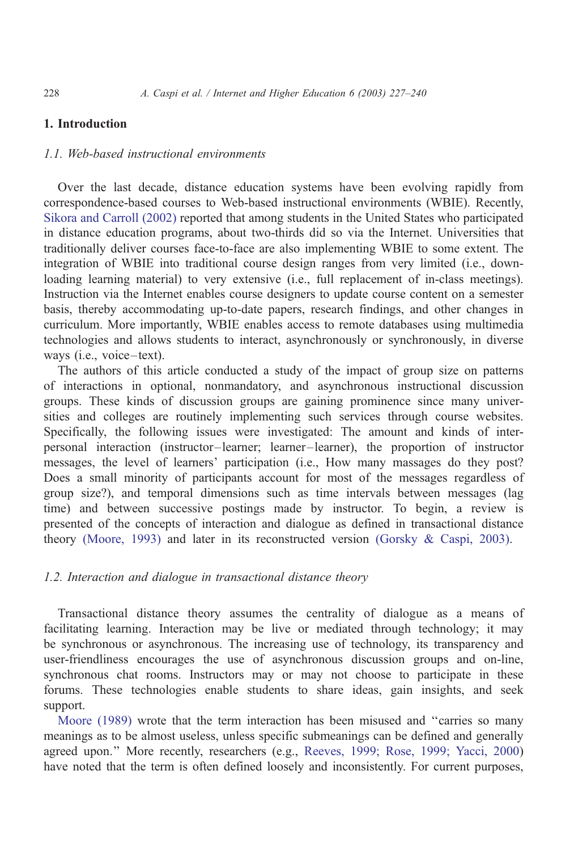# 1. Introduction

### 1.1. Web-based instructional environments

Over the last decade, distance education systems have been evolving rapidly from correspondence-based courses to Web-based instructional environments (WBIE). Recently, [Sikora and Carroll \(2002\)](#page-13-0) reported that among students in the United States who participated in distance education programs, about two-thirds did so via the Internet. Universities that traditionally deliver courses face-to-face are also implementing WBIE to some extent. The integration of WBIE into traditional course design ranges from very limited (i.e., downloading learning material) to very extensive (i.e., full replacement of in-class meetings). Instruction via the Internet enables course designers to update course content on a semester basis, thereby accommodating up-to-date papers, research findings, and other changes in curriculum. More importantly, WBIE enables access to remote databases using multimedia technologies and allows students to interact, asynchronously or synchronously, in diverse ways (i.e., voice–text).

The authors of this article conducted a study of the impact of group size on patterns of interactions in optional, nonmandatory, and asynchronous instructional discussion groups. These kinds of discussion groups are gaining prominence since many universities and colleges are routinely implementing such services through course websites. Specifically, the following issues were investigated: The amount and kinds of interpersonal interaction (instructor–learner; learner–learner), the proportion of instructor messages, the level of learners' participation (i.e., How many massages do they post? Does a small minority of participants account for most of the messages regardless of group size?), and temporal dimensions such as time intervals between messages (lag time) and between successive postings made by instructor. To begin, a review is presented of the concepts of interaction and dialogue as defined in transactional distance theory [\(Moore, 1993\)](#page-12-0) and later in its reconstructed version (Gorsky  $\&$  Caspi, 2003).

# 1.2. Interaction and dialogue in transactional distance theory

Transactional distance theory assumes the centrality of dialogue as a means of facilitating learning. Interaction may be live or mediated through technology; it may be synchronous or asynchronous. The increasing use of technology, its transparency and user-friendliness encourages the use of asynchronous discussion groups and on-line, synchronous chat rooms. Instructors may or may not choose to participate in these forums. These technologies enable students to share ideas, gain insights, and seek support.

[Moore \(1989\)](#page-12-0) wrote that the term interaction has been misused and ''carries so many meanings as to be almost useless, unless specific submeanings can be defined and generally agreed upon.'' More recently, researchers (e.g., [Reeves, 1999; Rose, 1999; Yacci, 2000\)](#page-12-0) have noted that the term is often defined loosely and inconsistently. For current purposes,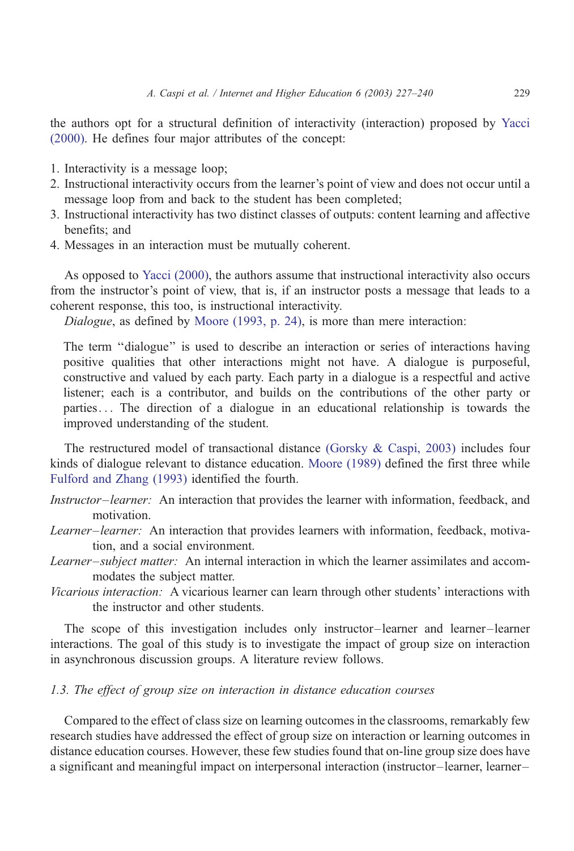the authors opt for a structural definition of interactivity (interaction) proposed by [Yacci](#page-13-0) (2000). He defines four major attributes of the concept:

- 1. Interactivity is a message loop;
- 2. Instructional interactivity occurs from the learner's point of view and does not occur until a message loop from and back to the student has been completed;
- 3. Instructional interactivity has two distinct classes of outputs: content learning and affective benefits; and
- 4. Messages in an interaction must be mutually coherent.

As opposed to [Yacci \(2000\),](#page-13-0) the authors assume that instructional interactivity also occurs from the instructor's point of view, that is, if an instructor posts a message that leads to a coherent response, this too, is instructional interactivity.

Dialogue, as defined by [Moore \(1993, p. 24\),](#page-12-0) is more than mere interaction:

The term "dialogue" is used to describe an interaction or series of interactions having positive qualities that other interactions might not have. A dialogue is purposeful, constructive and valued by each party. Each party in a dialogue is a respectful and active listener; each is a contributor, and builds on the contributions of the other party or parties... The direction of a dialogue in an educational relationship is towards the improved understanding of the student.

The restructured model of transactional distance [\(Gorsky & Caspi, 2003\)](#page-12-0) includes four kinds of dialogue relevant to distance education. [Moore \(1989\)](#page-12-0) defined the first three while [Fulford and Zhang \(1993\)](#page-12-0) identified the fourth.

- Instructor–learner: An interaction that provides the learner with information, feedback, and motivation.
- Learner–learner: An interaction that provides learners with information, feedback, motivation, and a social environment.
- Learner–subject matter: An internal interaction in which the learner assimilates and accommodates the subject matter.
- Vicarious interaction: A vicarious learner can learn through other students' interactions with the instructor and other students.

The scope of this investigation includes only instructor–learner and learner –learner interactions. The goal of this study is to investigate the impact of group size on interaction in asynchronous discussion groups. A literature review follows.

# 1.3. The effect of group size on interaction in distance education courses

Compared to the effect of class size on learning outcomes in the classrooms, remarkably few research studies have addressed the effect of group size on interaction or learning outcomes in distance education courses. However, these few studies found that on-line group size does have a significant and meaningful impact on interpersonal interaction (instructor–learner, learner–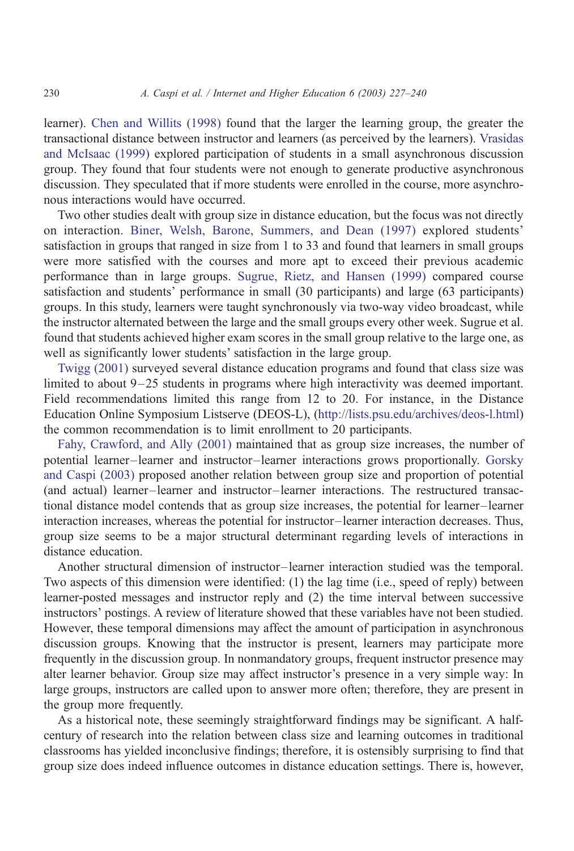learner). [Chen and Willits \(1998\)](#page-12-0) found that the larger the learning group, the greater the transactional distance between instructor and learners (as perceived by the learners). [Vrasidas](#page-13-0) and McIsaac (1999) explored participation of students in a small asynchronous discussion group. They found that four students were not enough to generate productive asynchronous discussion. They speculated that if more students were enrolled in the course, more asynchronous interactions would have occurred.

Two other studies dealt with group size in distance education, but the focus was not directly on interaction. [Biner, Welsh, Barone, Summers, and Dean \(1997\)](#page-12-0) explored students' satisfaction in groups that ranged in size from 1 to 33 and found that learners in small groups were more satisfied with the courses and more apt to exceed their previous academic performance than in large groups. [Sugrue, Rietz, and Hansen \(1999\)](#page-13-0) compared course satisfaction and students' performance in small (30 participants) and large (63 participants) groups. In this study, learners were taught synchronously via two-way video broadcast, while the instructor alternated between the large and the small groups every other week. Sugrue et al. found that students achieved higher exam scores in the small group relative to the large one, as well as significantly lower students' satisfaction in the large group.

[Twigg \(2001\)](#page-13-0) surveyed several distance education programs and found that class size was limited to about 9–25 students in programs where high interactivity was deemed important. Field recommendations limited this range from 12 to 20. For instance, in the Distance Education Online Symposium Listserve (DEOS-L), ([http://lists.psu.edu/archives/deos-l.html\)]( http:\\lists.psu.edu\archives\deos-l.html ) the common recommendation is to limit enrollment to 20 participants.

[Fahy, Crawford, and Ally \(2001\)](#page-12-0) maintained that as group size increases, the number of potential learner–learner and instructor–learner interactions grows proportionally. [Gorsky](#page-12-0) and Caspi (2003) proposed another relation between group size and proportion of potential (and actual) learner–learner and instructor–learner interactions. The restructured transactional distance model contends that as group size increases, the potential for learner–learner interaction increases, whereas the potential for instructor–learner interaction decreases. Thus, group size seems to be a major structural determinant regarding levels of interactions in distance education.

Another structural dimension of instructor–learner interaction studied was the temporal. Two aspects of this dimension were identified: (1) the lag time (i.e., speed of reply) between learner-posted messages and instructor reply and (2) the time interval between successive instructors' postings. A review of literature showed that these variables have not been studied. However, these temporal dimensions may affect the amount of participation in asynchronous discussion groups. Knowing that the instructor is present, learners may participate more frequently in the discussion group. In nonmandatory groups, frequent instructor presence may alter learner behavior. Group size may affect instructor's presence in a very simple way: In large groups, instructors are called upon to answer more often; therefore, they are present in the group more frequently.

As a historical note, these seemingly straightforward findings may be significant. A halfcentury of research into the relation between class size and learning outcomes in traditional classrooms has yielded inconclusive findings; therefore, it is ostensibly surprising to find that group size does indeed influence outcomes in distance education settings. There is, however,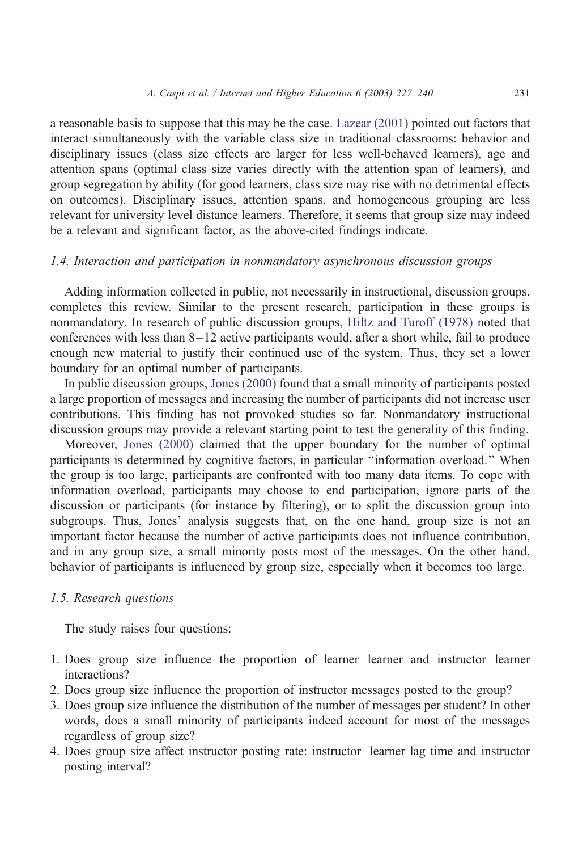a reasonable basis to suppose that this may be the case. [Lazear \(2001\)](#page-12-0) pointed out factors that interact simultaneously with the variable class size in traditional classrooms: behavior and disciplinary issues (class size effects are larger for less well-behaved learners), age and attention spans (optimal class size varies directly with the attention span of learners), and group segregation by ability (for good learners, class size may rise with no detrimental effects on outcomes). Disciplinary issues, attention spans, and homogeneous grouping are less relevant for university level distance learners. Therefore, it seems that group size may indeed be a relevant and significant factor, as the above-cited findings indicate.

### 1.4. Interaction and participation in nonmandatory asynchronous discussion groups

Adding information collected in public, not necessarily in instructional, discussion groups, completes this review. Similar to the present research, participation in these groups is nonmandatory. In research of public discussion groups, [Hiltz and Turoff \(1978\)](#page-12-0) noted that conferences with less than 8–12 active participants would, after a short while, fail to produce enough new material to justify their continued use of the system. Thus, they set a lower boundary for an optimal number of participants.

In public discussion groups, [Jones \(2000\)](#page-12-0) found that a small minority of participants posted a large proportion of messages and increasing the number of participants did not increase user contributions. This finding has not provoked studies so far. Nonmandatory instructional discussion groups may provide a relevant starting point to test the generality of this finding.

Moreover, [Jones \(2000\)](#page-12-0) claimed that the upper boundary for the number of optimal participants is determined by cognitive factors, in particular ''information overload.'' When the group is too large, participants are confronted with too many data items. To cope with information overload, participants may choose to end participation, ignore parts of the discussion or participants (for instance by filtering), or to split the discussion group into subgroups. Thus, Jones' analysis suggests that, on the one hand, group size is not an important factor because the number of active participants does not influence contribution, and in any group size, a small minority posts most of the messages. On the other hand, behavior of participants is influenced by group size, especially when it becomes too large.

### 1.5. Research questions

The study raises four questions:

- 1. Does group size influence the proportion of learner–learner and instructor–learner interactions?
- 2. Does group size influence the proportion of instructor messages posted to the group?
- 3. Does group size influence the distribution of the number of messages per student? In other words, does a small minority of participants indeed account for most of the messages regardless of group size?
- 4. Does group size affect instructor posting rate: instructor–learner lag time and instructor posting interval?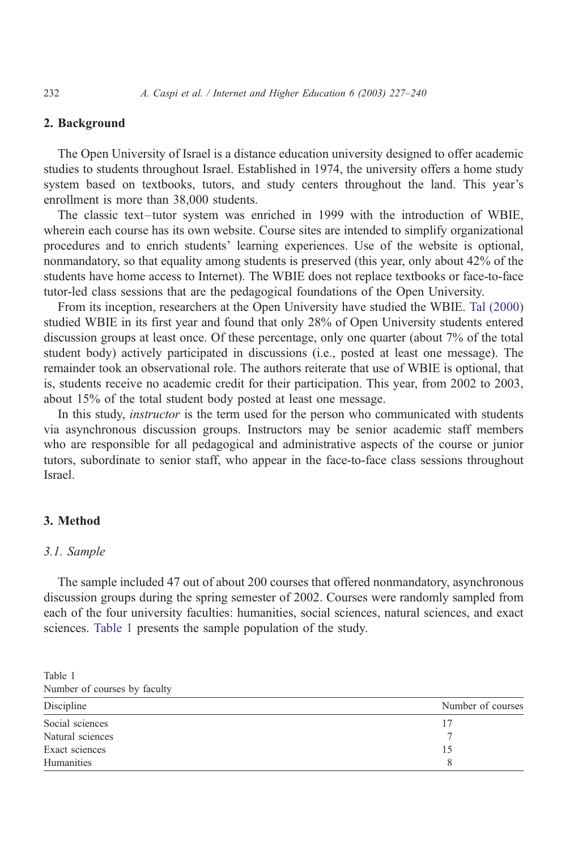# 2. Background

The Open University of Israel is a distance education university designed to offer academic studies to students throughout Israel. Established in 1974, the university offers a home study system based on textbooks, tutors, and study centers throughout the land. This year's enrollment is more than 38,000 students.

The classic text–tutor system was enriched in 1999 with the introduction of WBIE, wherein each course has its own website. Course sites are intended to simplify organizational procedures and to enrich students' learning experiences. Use of the website is optional, nonmandatory, so that equality among students is preserved (this year, only about 42% of the students have home access to Internet). The WBIE does not replace textbooks or face-to-face tutor-led class sessions that are the pedagogical foundations of the Open University.

From its inception, researchers at the Open University have studied the WBIE. [Tal \(2000\)](#page-13-0) studied WBIE in its first year and found that only 28% of Open University students entered discussion groups at least once. Of these percentage, only one quarter (about 7% of the total student body) actively participated in discussions (i.e., posted at least one message). The remainder took an observational role. The authors reiterate that use of WBIE is optional, that is, students receive no academic credit for their participation. This year, from 2002 to 2003, about 15% of the total student body posted at least one message.

In this study, instructor is the term used for the person who communicated with students via asynchronous discussion groups. Instructors may be senior academic staff members who are responsible for all pedagogical and administrative aspects of the course or junior tutors, subordinate to senior staff, who appear in the face-to-face class sessions throughout Israel.

# 3. Method

# 3.1. Sample

The sample included 47 out of about 200 courses that offered nonmandatory, asynchronous discussion groups during the spring semester of 2002. Courses were randomly sampled from each of the four university faculties: humanities, social sciences, natural sciences, and exact sciences. Table 1 presents the sample population of the study.

Table 1 Number of courses by faculty

| Discipline       | Number of courses |
|------------------|-------------------|
| Social sciences  |                   |
| Natural sciences |                   |
| Exact sciences   |                   |
| Humanities       |                   |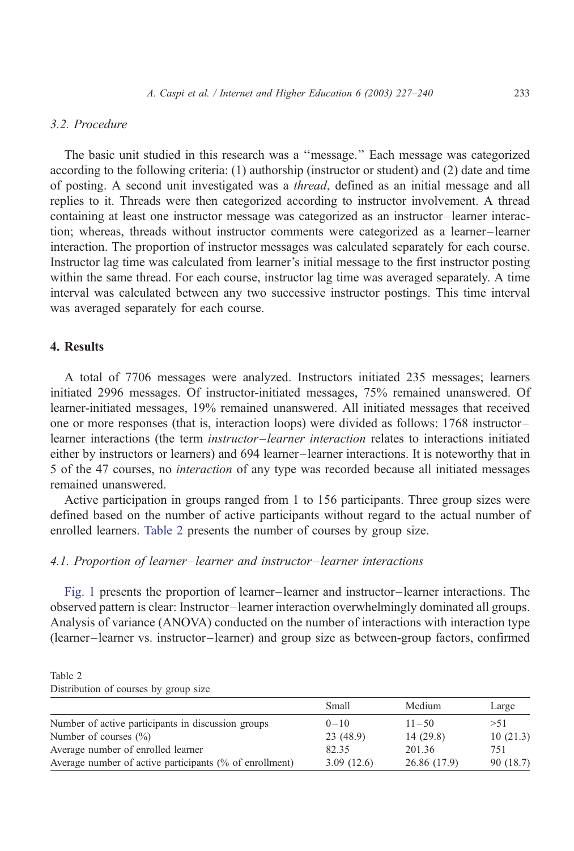# 3.2. Procedure

The basic unit studied in this research was a ''message.'' Each message was categorized according to the following criteria: (1) authorship (instructor or student) and (2) date and time of posting. A second unit investigated was a thread, defined as an initial message and all replies to it. Threads were then categorized according to instructor involvement. A thread containing at least one instructor message was categorized as an instructor–learner interaction; whereas, threads without instructor comments were categorized as a learner–learner interaction. The proportion of instructor messages was calculated separately for each course. Instructor lag time was calculated from learner's initial message to the first instructor posting within the same thread. For each course, instructor lag time was averaged separately. A time interval was calculated between any two successive instructor postings. This time interval was averaged separately for each course.

# 4. Results

A total of 7706 messages were analyzed. Instructors initiated 235 messages; learners initiated 2996 messages. Of instructor-initiated messages, 75% remained unanswered. Of learner-initiated messages, 19% remained unanswered. All initiated messages that received one or more responses (that is, interaction loops) were divided as follows: 1768 instructor– learner interactions (the term instructor–learner interaction relates to interactions initiated either by instructors or learners) and 694 learner–learner interactions. It is noteworthy that in 5 of the 47 courses, no interaction of any type was recorded because all initiated messages remained unanswered.

Active participation in groups ranged from 1 to 156 participants. Three group sizes were defined based on the number of active participants without regard to the actual number of enrolled learners. Table 2 presents the number of courses by group size.

### 4.1. Proportion of learner–learner and instructor–learner interactions

[Fig. 1](#page-7-0) presents the proportion of learner–learner and instructor–learner interactions. The observed pattern is clear: Instructor–learner interaction overwhelmingly dominated all groups. Analysis of variance (ANOVA) conducted on the number of interactions with interaction type (learner–learner vs. instructor–learner) and group size as between-group factors, confirmed

| Distribution of courses by group size                   |            |              |           |  |
|---------------------------------------------------------|------------|--------------|-----------|--|
|                                                         | Small      | Medium       | Large     |  |
| Number of active participants in discussion groups      | $0 - 10$   | $11 - 50$    | >51       |  |
| Number of courses $(\% )$                               | 23(48.9)   | 14(29.8)     | 10(21.3)  |  |
| Average number of enrolled learner                      | 82.35      | 201.36       | 751       |  |
| Average number of active participants (% of enrollment) | 3.09(12.6) | 26.86 (17.9) | 90 (18.7) |  |

Table 2 Distribution of courses by group size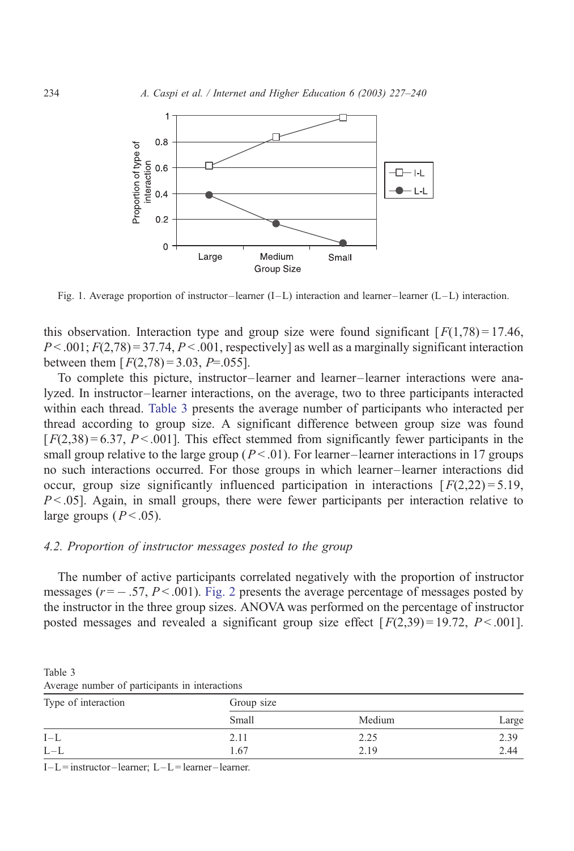<span id="page-7-0"></span>

Fig. 1. Average proportion of instructor-learner (I-L) interaction and learner-learner (L-L) interaction.

this observation. Interaction type and group size were found significant  $[F(1,78) = 17.46]$ ,  $P < .001$ ;  $F(2,78) = 37.74$ ,  $P < .001$ , respectively] as well as a marginally significant interaction between them  $[F(2,78) = 3.03, P = .055]$ .

To complete this picture, instructor–learner and learner–learner interactions were analyzed. In instructor–learner interactions, on the average, two to three participants interacted within each thread. Table 3 presents the average number of participants who interacted per thread according to group size. A significant difference between group size was found  $[F(2,38) = 6.37, P < .001]$ . This effect stemmed from significantly fewer participants in the small group relative to the large group ( $P < .01$ ). For learner–learner interactions in 17 groups no such interactions occurred. For those groups in which learner–learner interactions did occur, group size significantly influenced participation in interactions  $[F(2,22) = 5.19]$ ,  $P < 0.05$ . Again, in small groups, there were fewer participants per interaction relative to large groups ( $P < .05$ ).

### 4.2. Proportion of instructor messages posted to the group

The number of active participants correlated negatively with the proportion of instructor messages ( $r = -.57$ ,  $P < .001$ ). [Fig. 2](#page-8-0) presents the average percentage of messages posted by the instructor in the three group sizes. ANOVA was performed on the percentage of instructor posted messages and revealed a significant group size effect  $[F(2,39) = 19.72, P < .001]$ .

Table 3 Average number of participants in interactions

| Type of interaction | Group size |        |       |  |
|---------------------|------------|--------|-------|--|
|                     | Small      | Medium | Large |  |
| $I-L$               | 2.11       | 2.25   | 2.39  |  |
| $L-L$               | 1.67       | 2.19   | 2.44  |  |

 $I - L$  = instructor – learner;  $L - L$  = learner – learner.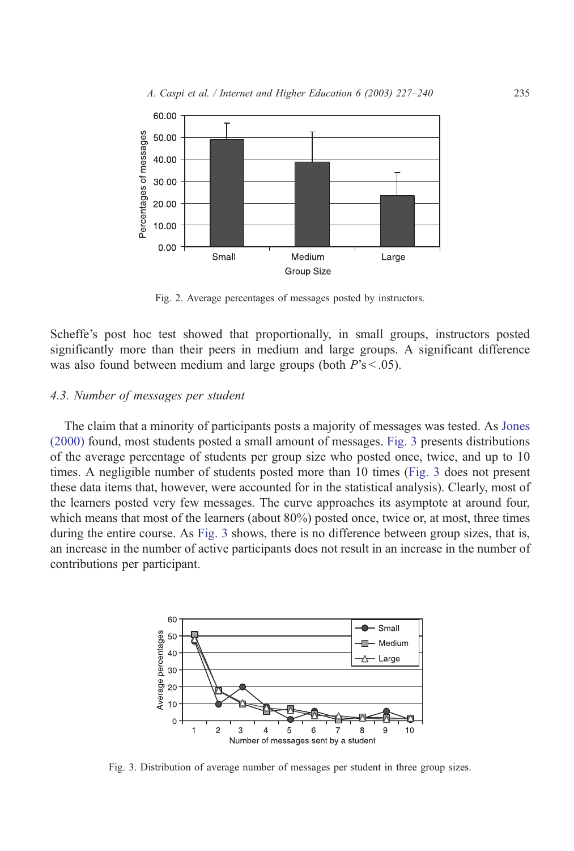<span id="page-8-0"></span>

Fig. 2. Average percentages of messages posted by instructors.

Scheffe's post hoc test showed that proportionally, in small groups, instructors posted significantly more than their peers in medium and large groups. A significant difference was also found between medium and large groups (both  $P's < .05$ ).

# 4.3. Number of messages per student

The claim that a minority of participants posts a majority of messages was tested. As [Jones](#page-12-0) (2000) found, most students posted a small amount of messages. Fig. 3 presents distributions of the average percentage of students per group size who posted once, twice, and up to 10 times. A negligible number of students posted more than 10 times (Fig. 3 does not present these data items that, however, were accounted for in the statistical analysis). Clearly, most of the learners posted very few messages. The curve approaches its asymptote at around four, which means that most of the learners (about 80%) posted once, twice or, at most, three times during the entire course. As Fig. 3 shows, there is no difference between group sizes, that is, an increase in the number of active participants does not result in an increase in the number of contributions per participant.



Fig. 3. Distribution of average number of messages per student in three group sizes.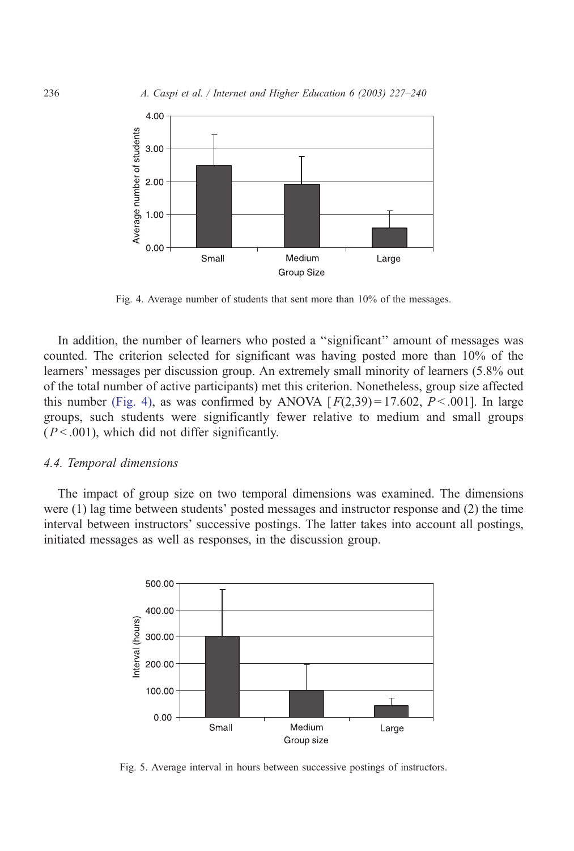<span id="page-9-0"></span>

Fig. 4. Average number of students that sent more than 10% of the messages.

In addition, the number of learners who posted a ''significant'' amount of messages was counted. The criterion selected for significant was having posted more than 10% of the learners' messages per discussion group. An extremely small minority of learners (5.8% out of the total number of active participants) met this criterion. Nonetheless, group size affected this number (Fig. 4), as was confirmed by ANOVA  $[F(2,39) = 17.602, P < .001]$ . In large groups, such students were significantly fewer relative to medium and small groups  $(P<.001)$ , which did not differ significantly.

# 4.4. Temporal dimensions

The impact of group size on two temporal dimensions was examined. The dimensions were (1) lag time between students' posted messages and instructor response and (2) the time interval between instructors' successive postings. The latter takes into account all postings, initiated messages as well as responses, in the discussion group.



Fig. 5. Average interval in hours between successive postings of instructors.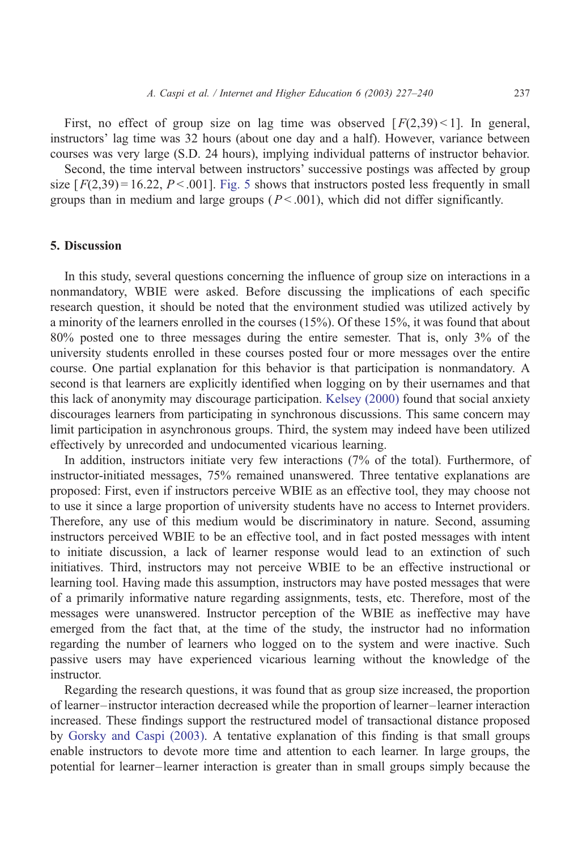First, no effect of group size on lag time was observed  $[F(2,39) \le 1]$ . In general, instructors' lag time was 32 hours (about one day and a half). However, variance between courses was very large (S.D. 24 hours), implying individual patterns of instructor behavior.

Second, the time interval between instructors' successive postings was affected by group size  $[F(2,39) = 16.22, P < .001]$ . [Fig. 5](#page-9-0) shows that instructors posted less frequently in small groups than in medium and large groups ( $P < .001$ ), which did not differ significantly.

### 5. Discussion

In this study, several questions concerning the influence of group size on interactions in a nonmandatory, WBIE were asked. Before discussing the implications of each specific research question, it should be noted that the environment studied was utilized actively by a minority of the learners enrolled in the courses (15%). Of these 15%, it was found that about 80% posted one to three messages during the entire semester. That is, only 3% of the university students enrolled in these courses posted four or more messages over the entire course. One partial explanation for this behavior is that participation is nonmandatory. A second is that learners are explicitly identified when logging on by their usernames and that this lack of anonymity may discourage participation. [Kelsey \(2000\)](#page-12-0) found that social anxiety discourages learners from participating in synchronous discussions. This same concern may limit participation in asynchronous groups. Third, the system may indeed have been utilized effectively by unrecorded and undocumented vicarious learning.

In addition, instructors initiate very few interactions (7% of the total). Furthermore, of instructor-initiated messages, 75% remained unanswered. Three tentative explanations are proposed: First, even if instructors perceive WBIE as an effective tool, they may choose not to use it since a large proportion of university students have no access to Internet providers. Therefore, any use of this medium would be discriminatory in nature. Second, assuming instructors perceived WBIE to be an effective tool, and in fact posted messages with intent to initiate discussion, a lack of learner response would lead to an extinction of such initiatives. Third, instructors may not perceive WBIE to be an effective instructional or learning tool. Having made this assumption, instructors may have posted messages that were of a primarily informative nature regarding assignments, tests, etc. Therefore, most of the messages were unanswered. Instructor perception of the WBIE as ineffective may have emerged from the fact that, at the time of the study, the instructor had no information regarding the number of learners who logged on to the system and were inactive. Such passive users may have experienced vicarious learning without the knowledge of the instructor.

Regarding the research questions, it was found that as group size increased, the proportion of learner–instructor interaction decreased while the proportion of learner–learner interaction increased. These findings support the restructured model of transactional distance proposed by [Gorsky and Caspi \(2003\).](#page-12-0) A tentative explanation of this finding is that small groups enable instructors to devote more time and attention to each learner. In large groups, the potential for learner–learner interaction is greater than in small groups simply because the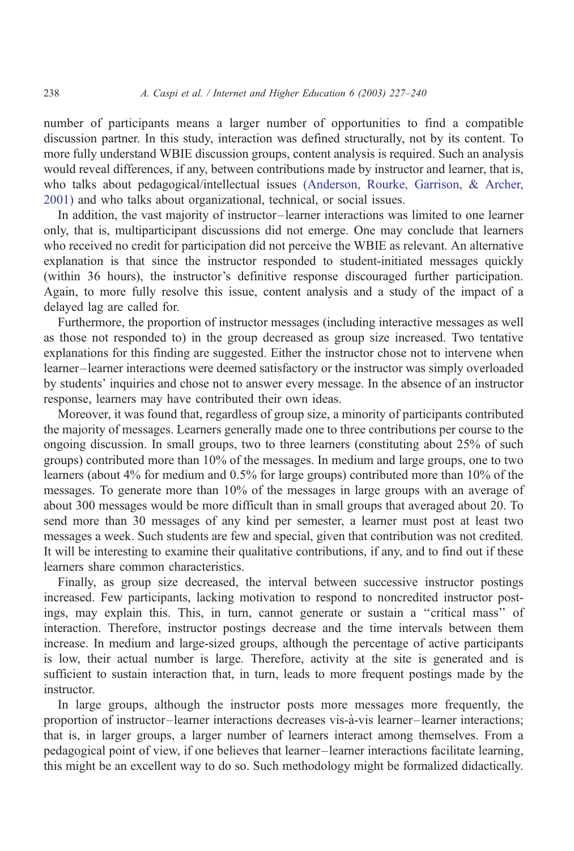number of participants means a larger number of opportunities to find a compatible discussion partner. In this study, interaction was defined structurally, not by its content. To more fully understand WBIE discussion groups, content analysis is required. Such an analysis would reveal differences, if any, between contributions made by instructor and learner, that is, who talks about pedagogical/intellectual issues [\(Anderson, Rourke, Garrison, & Archer,](#page-12-0) 2001) and who talks about organizational, technical, or social issues.

In addition, the vast majority of instructor–learner interactions was limited to one learner only, that is, multiparticipant discussions did not emerge. One may conclude that learners who received no credit for participation did not perceive the WBIE as relevant. An alternative explanation is that since the instructor responded to student-initiated messages quickly (within 36 hours), the instructor's definitive response discouraged further participation. Again, to more fully resolve this issue, content analysis and a study of the impact of a delayed lag are called for.

Furthermore, the proportion of instructor messages (including interactive messages as well as those not responded to) in the group decreased as group size increased. Two tentative explanations for this finding are suggested. Either the instructor chose not to intervene when learner–learner interactions were deemed satisfactory or the instructor was simply overloaded by students' inquiries and chose not to answer every message. In the absence of an instructor response, learners may have contributed their own ideas.

Moreover, it was found that, regardless of group size, a minority of participants contributed the majority of messages. Learners generally made one to three contributions per course to the ongoing discussion. In small groups, two to three learners (constituting about 25% of such groups) contributed more than 10% of the messages. In medium and large groups, one to two learners (about 4% for medium and 0.5% for large groups) contributed more than 10% of the messages. To generate more than 10% of the messages in large groups with an average of about 300 messages would be more difficult than in small groups that averaged about 20. To send more than 30 messages of any kind per semester, a learner must post at least two messages a week. Such students are few and special, given that contribution was not credited. It will be interesting to examine their qualitative contributions, if any, and to find out if these learners share common characteristics.

Finally, as group size decreased, the interval between successive instructor postings increased. Few participants, lacking motivation to respond to noncredited instructor postings, may explain this. This, in turn, cannot generate or sustain a ''critical mass'' of interaction. Therefore, instructor postings decrease and the time intervals between them increase. In medium and large-sized groups, although the percentage of active participants is low, their actual number is large. Therefore, activity at the site is generated and is sufficient to sustain interaction that, in turn, leads to more frequent postings made by the instructor.

In large groups, although the instructor posts more messages more frequently, the proportion of instructor–learner interactions decreases vis-a`-vis learner–learner interactions; that is, in larger groups, a larger number of learners interact among themselves. From a pedagogical point of view, if one believes that learner–learner interactions facilitate learning, this might be an excellent way to do so. Such methodology might be formalized didactically.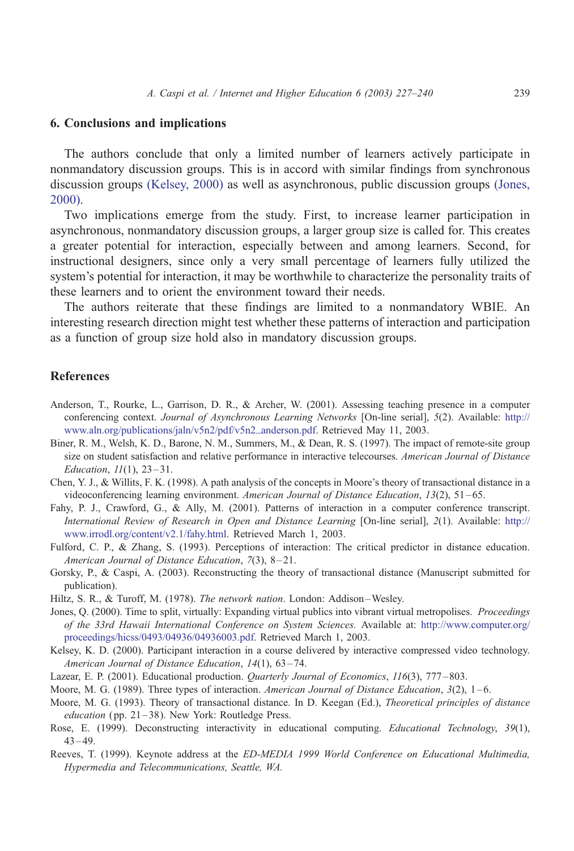### <span id="page-12-0"></span>6. Conclusions and implications

The authors conclude that only a limited number of learners actively participate in nonmandatory discussion groups. This is in accord with similar findings from synchronous discussion groups (Kelsey, 2000) as well as asynchronous, public discussion groups (Jones, 2000).

Two implications emerge from the study. First, to increase learner participation in asynchronous, nonmandatory discussion groups, a larger group size is called for. This creates a greater potential for interaction, especially between and among learners. Second, for instructional designers, since only a very small percentage of learners fully utilized the system's potential for interaction, it may be worthwhile to characterize the personality traits of these learners and to orient the environment toward their needs.

The authors reiterate that these findings are limited to a nonmandatory WBIE. An interesting research direction might test whether these patterns of interaction and participation as a function of group size hold also in mandatory discussion groups.

### References

- Anderson, T., Rourke, L., Garrison, D. R., & Archer, W. (2001). Assessing teaching presence in a co[mputer]( http:\\www.aln.org\publications\jaln\v5n2\pdf\v5n2_anderson.pdf ) conferencing context. Journal of Asynchronous Learning Networks [On-line serial], 5(2). Available: http:// www.aln.org/publications/jaln/v5n2/pdf/v5n2\_anderson.pdf. Retrieved May 11, 2003.
- Biner, R. M., Welsh, K. D., Barone, N. M., Summers, M., & Dean, R. S. (1997). The impact of remote-site group size on student satisfaction and relative performance in interactive telecourses. American Journal of Distance Education,  $11(1)$ ,  $23-31$ .
- Chen, Y. J., & Willits, F. K. (1998). A path analysis of the concepts in Moore's theory of transactional distance in a videoconferencing learning environment. American Journal of Distance Education, 13(2), 51 – 65.
- Fahy, P. J., Crawford, G., & Ally, M. (2001). Patterns of interaction in a computer conference tran[script.]( http:\\www.icaap.org\iuicode?149.2.1.4 ) International Review of Research in Open and Distance Learning [On-line serial], 2(1). Available: http:// www.irrodl.org/content/v2.1/fahy.html. Retrieved March 1, 2003.
- Fulford, C. P., & Zhang, S. (1993). Perceptions of interaction: The critical predictor in distance education. American Journal of Distance Education, 7(3), 8-21.
- Gorsky, P., & Caspi, A. (2003). Reconstructing the theory of transactional distance (Manuscript submitted for publication).
- Hiltz, S. R., & Turoff, M. (1978). The network nation. London: Addison-Wesley.
- Jones, Q. (2000). Time to split, virtually: Expanding virtual publics into vibrant virtual metropolises. [Proceedings]( http:\\www.computer.org\proceedings\hicss\0493\04936\04936003.pdf ) of the 33rd Hawaii International Conference on System Sciences. Available at: http://www.computer.org/ proceedings/hicss/0493/04936/04936003.pdf. Retrieved March 1, 2003.
- Kelsey, K. D. (2000). Participant interaction in a course delivered by interactive compressed video technology. American Journal of Distance Education, 14(1), 63-74.
- Lazear, E. P. (2001). Educational production. *Quarterly Journal of Economics*, 116(3), 777-803.
- Moore, M. G. (1989). Three types of interaction. American Journal of Distance Education, 3(2), 1-6.
- Moore, M. G. (1993). Theory of transactional distance. In D. Keegan (Ed.), Theoretical principles of distance education (pp.  $21-38$ ). New York: Routledge Press.
- Rose, E. (1999). Deconstructing interactivity in educational computing. Educational Technology, 39(1),  $43 - 49.$
- Reeves, T. (1999). Keynote address at the ED-MEDIA 1999 World Conference on Educational Multimedia, Hypermedia and Telecommunications, Seattle, WA.